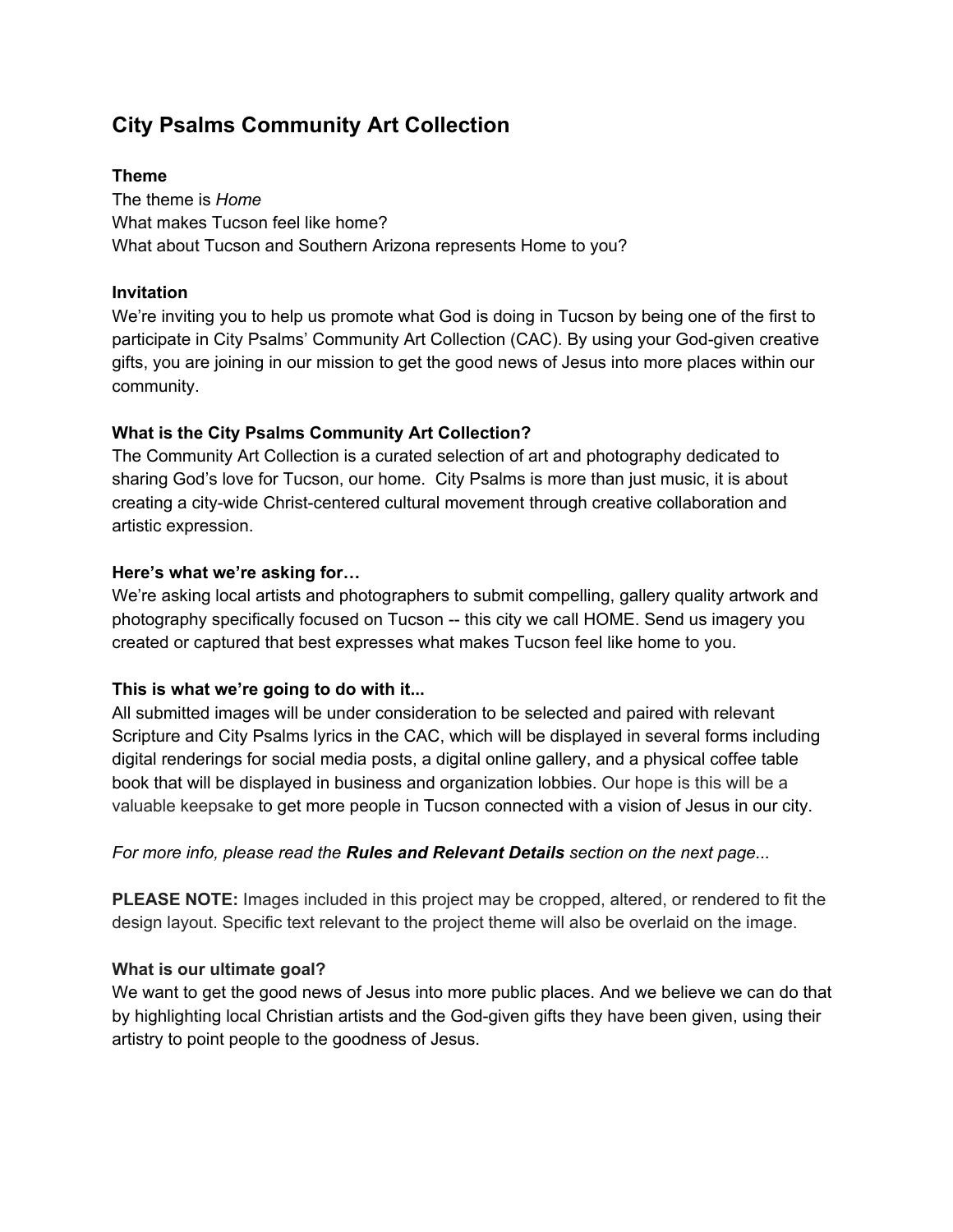# **City Psalms Community Art Collection**

## **Theme**

The theme is *Home* What makes Tucson feel like home? What about Tucson and Southern Arizona represents Home to you?

## **Invitation**

We're inviting you to help us promote what God is doing in Tucson by being one of the first to participate in City Psalms' Community Art Collection (CAC). By using your God-given creative gifts, you are joining in our mission to get the good news of Jesus into more places within our community.

## **What is the City Psalms Community Art Collection?**

The Community Art Collection is a curated selection of art and photography dedicated to sharing God's love for Tucson, our home. City Psalms is more than just music, it is about creating a city-wide Christ-centered cultural movement through creative collaboration and artistic expression.

## **Here's what we're asking for…**

We're asking local artists and photographers to submit compelling, gallery quality artwork and photography specifically focused on Tucson -- this city we call HOME. Send us imagery you created or captured that best expresses what makes Tucson feel like home to you.

# **This is what we're going to do with it...**

All submitted images will be under consideration to be selected and paired with relevant Scripture and City Psalms lyrics in the CAC, which will be displayed in several forms including digital renderings for social media posts, a digital online gallery, and a physical coffee table book that will be displayed in business and organization lobbies. Our hope is this will be a valuable keepsake to get more people in Tucson connected with a vision of Jesus in our city.

## *For more info, please read the Rules and Relevant Details section on the next page...*

**PLEASE NOTE:** Images included in this project may be cropped, altered, or rendered to fit the design layout. Specific text relevant to the project theme will also be overlaid on the image.

# **What is our ultimate goal?**

We want to get the good news of Jesus into more public places. And we believe we can do that by highlighting local Christian artists and the God-given gifts they have been given, using their artistry to point people to the goodness of Jesus.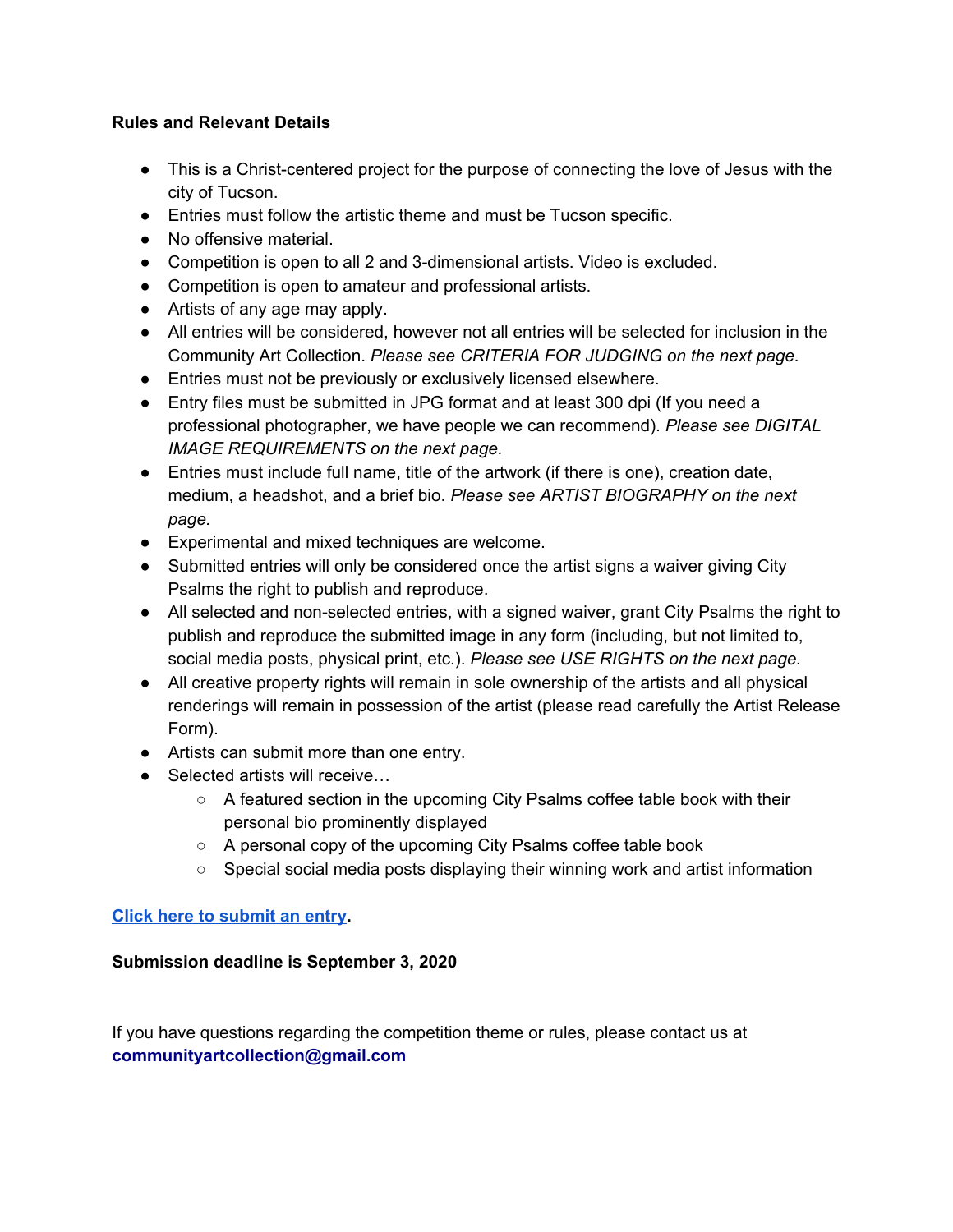#### **Rules and Relevant Details**

- This is a Christ-centered project for the purpose of connecting the love of Jesus with the city of Tucson.
- Entries must follow the artistic theme and must be Tucson specific.
- No offensive material.
- Competition is open to all 2 and 3-dimensional artists. Video is excluded.
- Competition is open to amateur and professional artists.
- Artists of any age may apply.
- All entries will be considered, however not all entries will be selected for inclusion in the Community Art Collection. *Please see CRITERIA FOR JUDGING on the next page.*
- Entries must not be previously or exclusively licensed elsewhere.
- Entry files must be submitted in JPG format and at least 300 dpi (If you need a professional photographer, we have people we can recommend). *Please see DIGITAL IMAGE REQUIREMENTS on the next page.*
- Entries must include full name, title of the artwork (if there is one), creation date, medium, a headshot, and a brief bio. *Please see ARTIST BIOGRAPHY on the next page.*
- Experimental and mixed techniques are welcome.
- Submitted entries will only be considered once the artist signs a waiver giving City Psalms the right to publish and reproduce.
- All selected and non-selected entries, with a signed waiver, grant City Psalms the right to publish and reproduce the submitted image in any form (including, but not limited to, social media posts, physical print, etc.). *Please see USE RIGHTS on the next page.*
- All creative property rights will remain in sole ownership of the artists and all physical renderings will remain in possession of the artist (please read carefully the Artist Release Form).
- Artists can submit more than one entry.
- Selected artists will receive...
	- $\circ$  A featured section in the upcoming City Psalms coffee table book with their personal bio prominently displayed
	- A personal copy of the upcoming City Psalms coffee table book
	- Special social media posts displaying their winning work and artist information

## **Click here to [submit](https://docs.google.com/forms/d/e/1FAIpQLSdcCEKWq-y76j4XZKGhxVGLmdJRafHnEefZe35kBDvludqNcQ/viewform?usp=sf_link) an entry.**

## **Submission deadline is September 3, 2020**

If you have questions regarding the competition theme or rules, please contact us at **communityartcollection@gmail.com**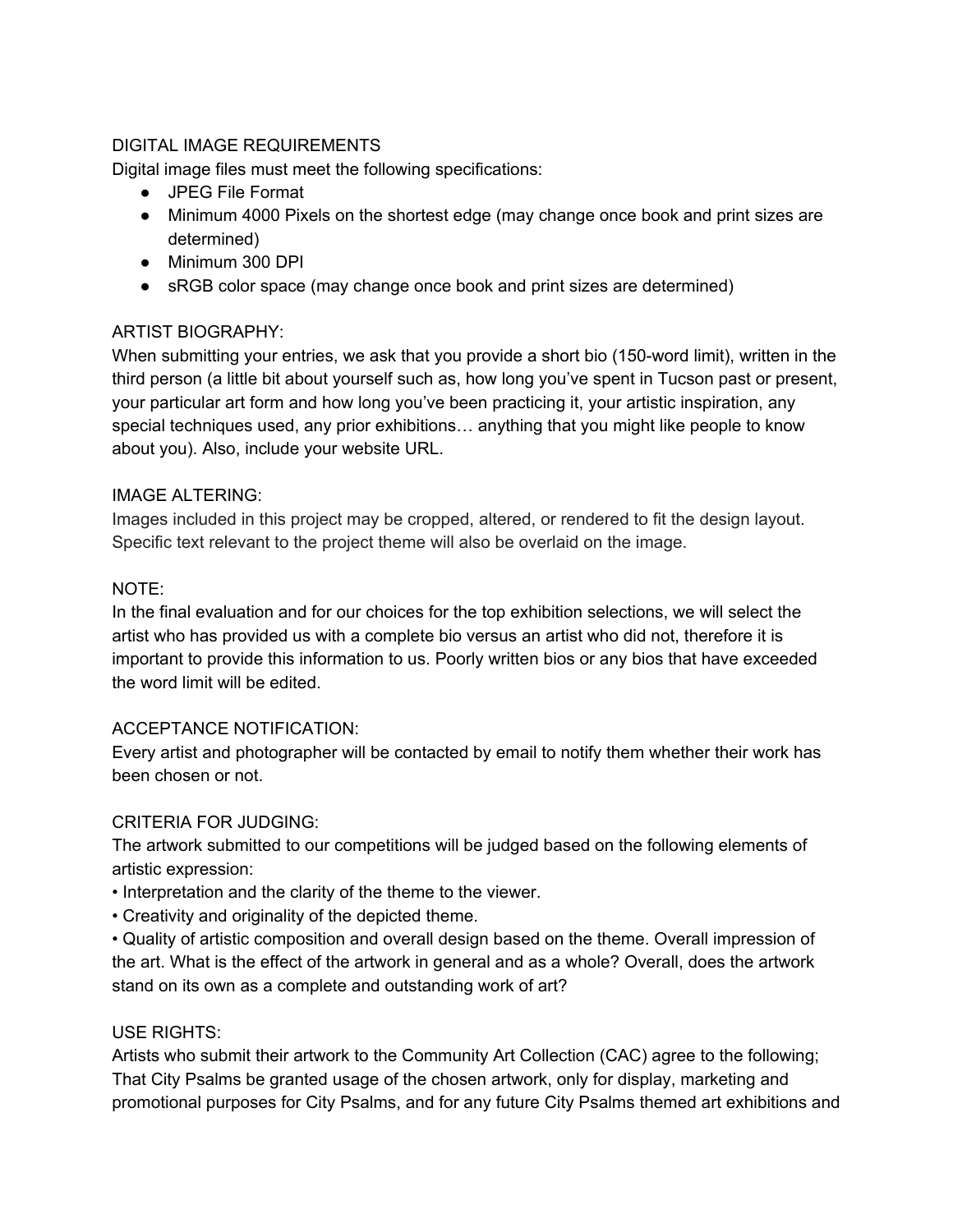## DIGITAL IMAGE REQUIREMENTS

Digital image files must meet the following specifications:

- JPEG File Format
- Minimum 4000 Pixels on the shortest edge (may change once book and print sizes are determined)
- Minimum 300 DPI
- sRGB color space (may change once book and print sizes are determined)

# ARTIST BIOGRAPHY:

When submitting your entries, we ask that you provide a short bio (150-word limit), written in the third person (a little bit about yourself such as, how long you've spent in Tucson past or present, your particular art form and how long you've been practicing it, your artistic inspiration, any special techniques used, any prior exhibitions… anything that you might like people to know about you). Also, include your website URL.

## IMAGE ALTERING:

Images included in this project may be cropped, altered, or rendered to fit the design layout. Specific text relevant to the project theme will also be overlaid on the image.

## NOTE:

In the final evaluation and for our choices for the top exhibition selections, we will select the artist who has provided us with a complete bio versus an artist who did not, therefore it is important to provide this information to us. Poorly written bios or any bios that have exceeded the word limit will be edited.

## ACCEPTANCE NOTIFICATION:

Every artist and photographer will be contacted by email to notify them whether their work has been chosen or not.

## CRITERIA FOR JUDGING:

The artwork submitted to our competitions will be judged based on the following elements of artistic expression:

- Interpretation and the clarity of the theme to the viewer.
- Creativity and originality of the depicted theme.

• Quality of artistic composition and overall design based on the theme. Overall impression of the art. What is the effect of the artwork in general and as a whole? Overall, does the artwork stand on its own as a complete and outstanding work of art?

## USE RIGHTS:

Artists who submit their artwork to the Community Art Collection (CAC) agree to the following; That City Psalms be granted usage of the chosen artwork, only for display, marketing and promotional purposes for City Psalms, and for any future City Psalms themed art exhibitions and